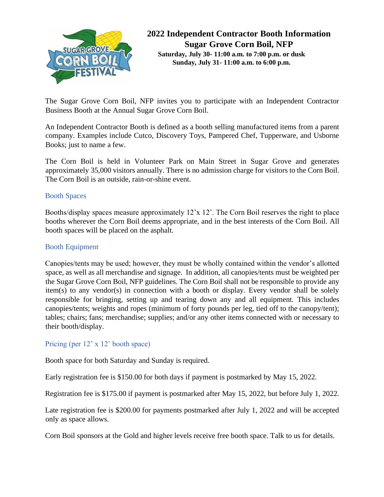

# **2022 Independent Contractor Booth Information Sugar Grove Corn Boil, NFP Saturday, July 30- 11:00 a.m. to 7:00 p.m. or dusk Sunday, July 31- 11:00 a.m. to 6:00 p.m.**

The Sugar Grove Corn Boil, NFP invites you to participate with an Independent Contractor Business Booth at the Annual Sugar Grove Corn Boil.

An Independent Contractor Booth is defined as a booth selling manufactured items from a parent company. Examples include Cutco, Discovery Toys, Pampered Chef, Tupperware, and Usborne Books; just to name a few.

The Corn Boil is held in Volunteer Park on Main Street in Sugar Grove and generates approximately 35,000 visitors annually. There is no admission charge for visitors to the Corn Boil. The Corn Boil is an outside, rain-or-shine event.

# Booth Spaces

Booths/display spaces measure approximately 12'x 12'. The Corn Boil reserves the right to place booths wherever the Corn Boil deems appropriate, and in the best interests of the Corn Boil. All booth spaces will be placed on the asphalt.

# Booth Equipment

Canopies/tents may be used; however, they must be wholly contained within the vendor's allotted space, as well as all merchandise and signage. In addition, all canopies/tents must be weighted per the Sugar Grove Corn Boil, NFP guidelines. The Corn Boil shall not be responsible to provide any item(s) to any vendor(s) in connection with a booth or display. Every vendor shall be solely responsible for bringing, setting up and tearing down any and all equipment. This includes canopies/tents; weights and ropes (minimum of forty pounds per leg, tied off to the canopy/tent); tables; chairs; fans; merchandise; supplies; and/or any other items connected with or necessary to their booth/display.

## Pricing (per 12' x 12' booth space)

Booth space for both Saturday and Sunday is required.

Early registration fee is \$150.00 for both days if payment is postmarked by May 15, 2022.

Registration fee is \$175.00 if payment is postmarked after May 15, 2022, but before July 1, 2022.

Late registration fee is \$200.00 for payments postmarked after July 1, 2022 and will be accepted only as space allows.

Corn Boil sponsors at the Gold and higher levels receive free booth space. Talk to us for details.